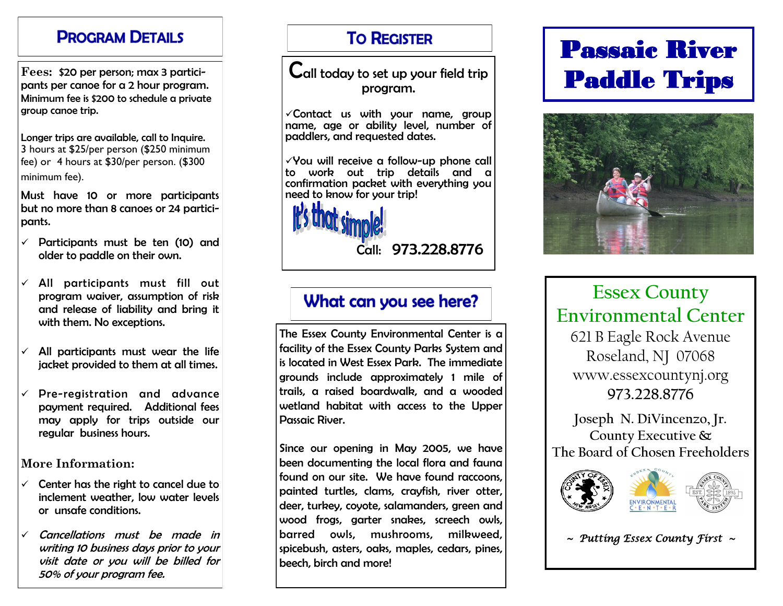### **PROGRAM DETAILS**

**Fees:** \$20 per person; max 3 participants per canoe for a 2 hour program. Minimum fee is \$200 to schedule a private group canoe trip.

Longer trips are available, call to Inquire. 3 hours at \$25/per person (\$250 minimum fee) or 4 hours at \$30/per person. (\$300 minimum fee).

Must have 10 or more participants but no more than 8 canoes or 24 participants.

- $\checkmark$  Participants must be ten (10) and older to paddle on their own.
- $\checkmark$  All participants must fill out program waiver, assumption of risk and release of liability and bring it with them. No exceptions.
- $\checkmark$  All participants must wear the life jacket provided to them at all times.
- $\checkmark$  Pre-registration and advance payment required. Additional fees may apply for trips outside our regular business hours.

**More Information:**

- $\checkmark$  Center has the right to cancel due to inclement weather, low water levels or unsafe conditions.
- $\checkmark$  Cancellations must be made in writing 10 business days prior to your visit date or you will be billed for 50% of your program fee.

## **TO REGISTER**

Call today to set up your field trip program.

 $\checkmark$  Contact us with your name, group name, age or ability level, number of paddlers, and requested dates.

 $\sqrt{V}$ ou will receive a follow-up phone call to work out trip details and a confirmation packet with everything you need to know for your trip!

Call: 973.228.8776

## What can you see here?

The Essex County Environmental Center is a facility of the Essex County Parks System and is located in West Essex Park. The immediate grounds include approximately 1 mile of trails, a raised boardwalk, and a wooded wetland habitat with access to the Upper Passaic River.

Since our opening in May 2005, we have been documenting the local flora and fauna found on our site. We have found raccoons, painted turtles, clams, crayfish, river otter, deer, turkey, coyote, salamanders, green and wood frogs, garter snakes, screech owls, barred owls, mushrooms, milkweed, spicebush, asters, oaks, maples, cedars, pines, beech, birch and more!

## Passaic River Paddle Trips



## **Essex County Environmental Center** 621 B Eagle Rock Avenue Roseland, NJ 07068 www.essexcountynj.org **973.228.8776**

**Joseph N. DiVincenzo, Jr. County Executive & The Board of Chosen Freeholders**



*~ Putting Essex County First ~*